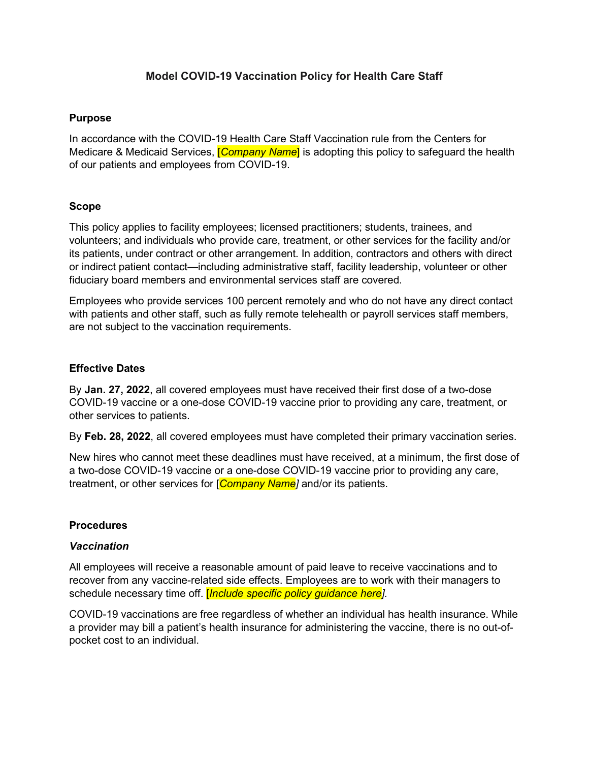# **Model COVID-19 Vaccination Policy for Health Care Staff**

### **Purpose**

In accordance with the COVID-19 Health Care Staff Vaccination rule from the Centers for Medicare & Medicaid Services, [*Company Name*] is adopting this policy to safeguard the health of our patients and employees from COVID-19.

## **Scope**

This policy applies to facility employees; licensed practitioners; students, trainees, and volunteers; and individuals who provide care, treatment, or other services for the facility and/or its patients, under contract or other arrangement. In addition, contractors and others with direct or indirect patient contact—including administrative staff, facility leadership, volunteer or other fiduciary board members and environmental services staff are covered.

Employees who provide services 100 percent remotely and who do not have any direct contact with patients and other staff, such as fully remote telehealth or payroll services staff members, are not subject to the vaccination requirements.

#### **Effective Dates**

By **Jan. 27, 2022**, all covered employees must have received their first dose of a two-dose COVID-19 vaccine or a one-dose COVID-19 vaccine prior to providing any care, treatment, or other services to patients.

By **Feb. 28, 2022**, all covered employees must have completed their primary vaccination series.

New hires who cannot meet these deadlines must have received, at a minimum, the first dose of a two-dose COVID-19 vaccine or a one-dose COVID-19 vaccine prior to providing any care, treatment, or other services for [*Company Name]* and/or its patients.

#### **Procedures**

#### *Vaccination*

All employees will receive a reasonable amount of paid leave to receive vaccinations and to recover from any vaccine-related side effects. Employees are to work with their managers to schedule necessary time off. [*Include specific policy guidance here].* 

COVID-19 vaccinations are free regardless of whether an individual has health insurance. While a provider may bill a patient's health insurance for administering the vaccine, there is no out-ofpocket cost to an individual.